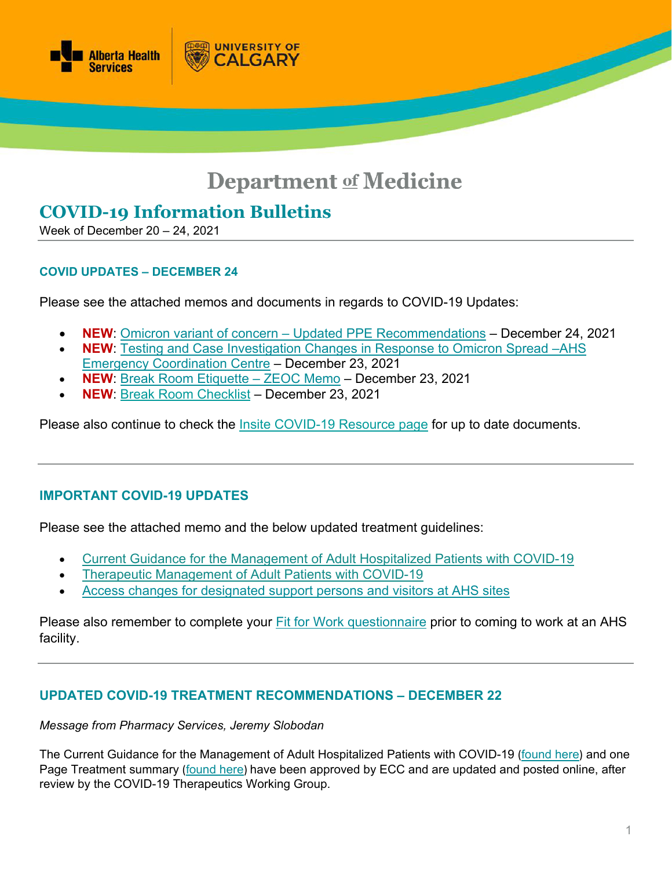

# **Department of Medicine**

# **COVID-19 Information Bulletins**

Week of December 20 – 24, 2021

#### **COVID UPDATES – DECEMBER 24**

Please see the attached memos and documents in regards to COVID-19 Updates:

**UNIVERSITY OF** 

**ALGARY** 

- **NEW**: Omicron variant of concern [Updated PPE Recommendations](https://www.departmentofmedicine.com/meoc/covid-omicron-voc-updated-ppe-recomendations.pdf) December 24, 2021
- **NEW**: [Testing and Case Investigation Changes in Response to Omicron Spread –AHS](https://www.departmentofmedicine.com/meoc/covid-testing-case-investigation-changes-omicron-spread.pdf)  [Emergency Coordination Centre](https://www.departmentofmedicine.com/meoc/covid-testing-case-investigation-changes-omicron-spread.pdf) – December 23, 2021
- **NEW**: [Break Room Etiquette –](https://www.departmentofmedicine.com/meoc/covid-break-room-ettiquette.pdf) ZEOC Memo December 23, 2021
- **NEW**: [Break Room Checklist](https://www.albertahealthservices.ca/assets/info/ppih/if-ppih-covid-19-breakroom-checklist.pdf) December 23, 2021

Please also continue to check the [Insite COVID-19 Resource page](https://insite.albertahealthservices.ca/tools/Page24291.aspx) for up to date documents.

# **IMPORTANT COVID-19 UPDATES**

Please see the attached memo and the below updated treatment guidelines:

- [Current Guidance for the Management of Adult Hospitalized Patients with COVID-19](https://www.albertahealthservices.ca/assets/info/ppih/if-ppih-covid-19-recommendations.pdf)
- [Therapeutic Management of Adult Patients with COVID-19](https://www.albertahealthservices.ca/assets/info/ppih/if-ppih-covid-19-therapeutic-management-summary.pdf)
- [Access changes for designated support persons and](https://www.departmentofmedicine.com/meoc/covid-access-changes-support-persons-ahs-sites.pdf) visitors at AHS sites

Please also remember to complete your [Fit for Work questionnaire](https://www.albertahealthservices.ca/topics/Page17076.aspx) prior to coming to work at an AHS facility.

#### **UPDATED COVID-19 TREATMENT RECOMMENDATIONS – DECEMBER 22**

#### *Message from Pharmacy Services, Jeremy Slobodan*

The Current Guidance for the Management of Adult Hospitalized Patients with COVID-19 ([found here](https://www.albertahealthservices.ca/assets/info/ppih/if-ppih-covid-19-recommendations.pdf)) and one Page Treatment summary ([found here](https://www.albertahealthservices.ca/assets/info/ppih/if-ppih-covid-19-therapeutic-management-summary.pdf)) have been approved by ECC and are updated and posted online, after review by the COVID-19 Therapeutics Working Group.